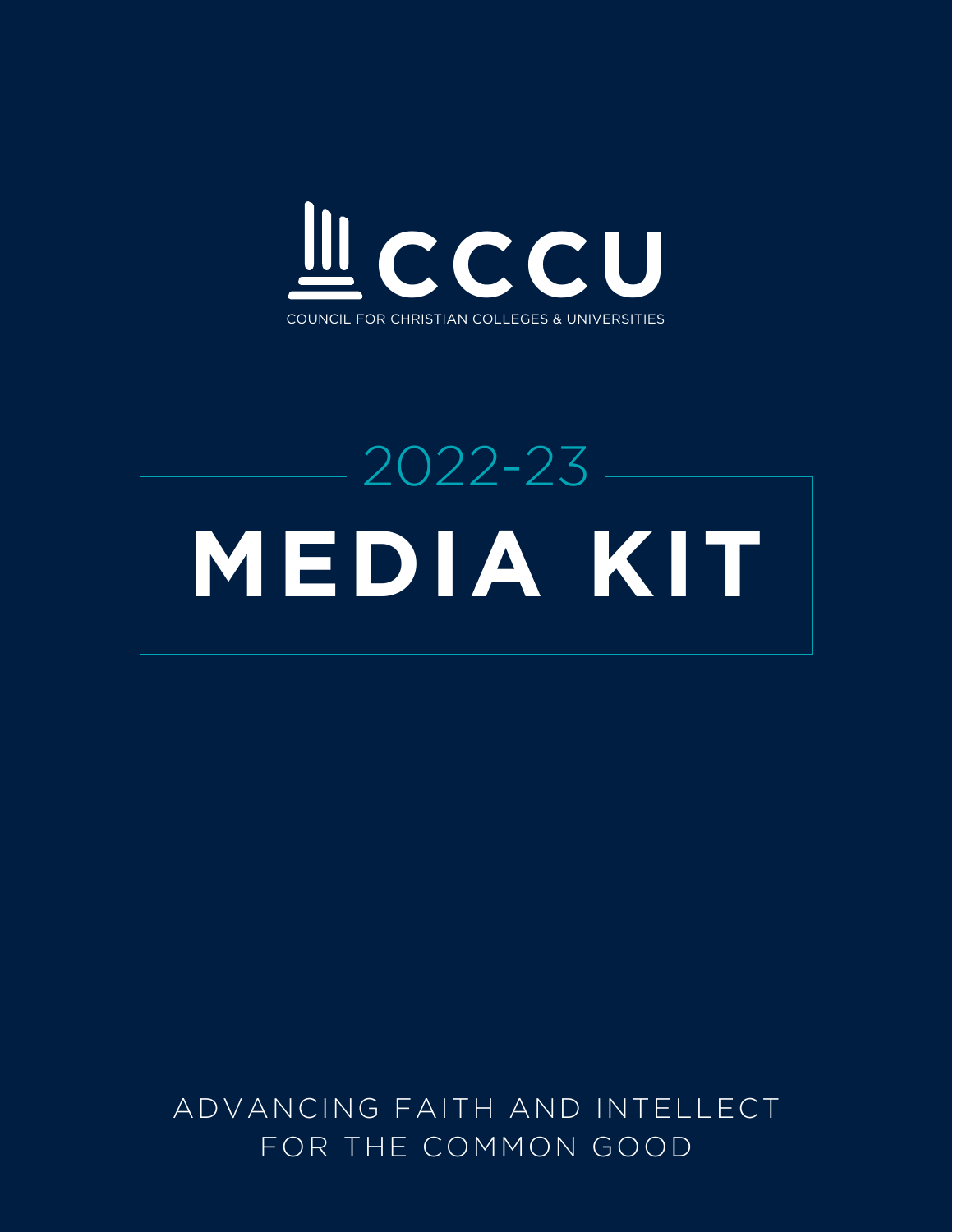

# 2022-23 **MEDIA KIT**

ADVANCING FAITH AND INTELLECT FOR THE COMMON GOOD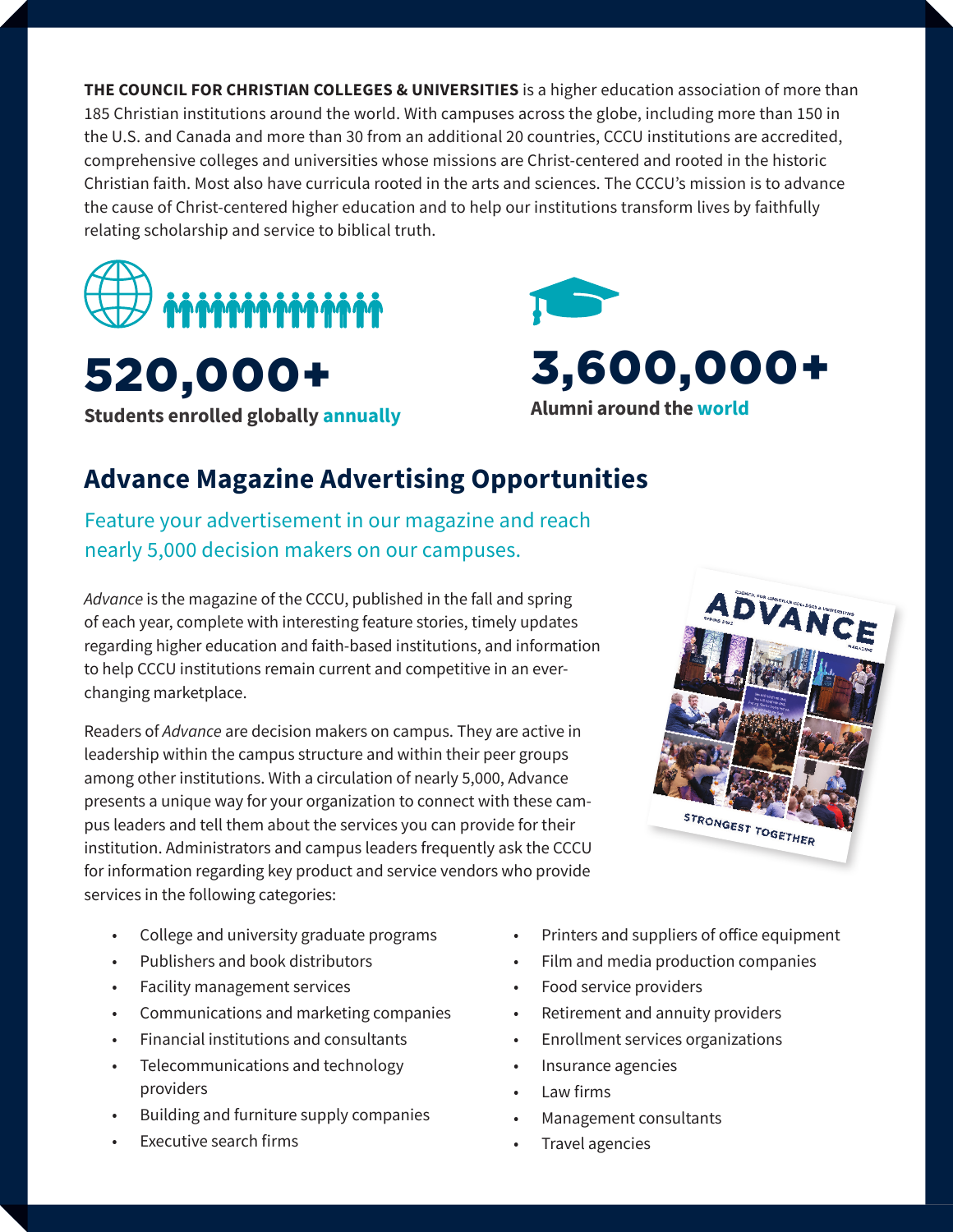**THE COUNCIL FOR CHRISTIAN COLLEGES & UNIVERSITIES** is a higher education association of more than 185 Christian institutions around the world. With campuses across the globe, including more than 150 in the U.S. and Canada and more than 30 from an additional 20 countries, CCCU institutions are accredited, comprehensive colleges and universities whose missions are Christ-centered and rooted in the historic Christian faith. Most also have curricula rooted in the arts and sciences. The CCCU's mission is to advance the cause of Christ-centered higher education and to help our institutions transform lives by faithfully relating scholarship and service to biblical truth.



520,000+ **Students enrolled globally annually**



## **Advance Magazine Advertising Opportunities**

Feature your advertisement in our magazine and reach nearly 5,000 decision makers on our campuses.

Advance is the magazine of the CCCU, published in the fall and spring of each year, complete with interesting feature stories, timely updates regarding higher education and faith-based institutions, and information to help CCCU institutions remain current and competitive in an everchanging marketplace.

Readers of *Advance* are decision makers on campus. They are active in leadership within the campus structure and within their peer groups among other institutions. With a circulation of nearly 5,000, Advance presents a unique way for your organization to connect with these campus leaders and tell them about the services you can provide for their institution. Administrators and campus leaders frequently ask the CCCU for information regarding key product and service vendors who provide services in the following categories:

ADVANCE STRONGEST TOGETHER

- College and university graduate programs
- Publishers and book distributors
- Facility management services
- Communications and marketing companies
- Financial institutions and consultants
- Telecommunications and technology providers
- Building and furniture supply companies
- Executive search firms
- Printers and suppliers of office equipment
- Film and media production companies
- Food service providers
- Retirement and annuity providers
- Enrollment services organizations
- Insurance agencies
- Law firms
- Management consultants
- Travel agencies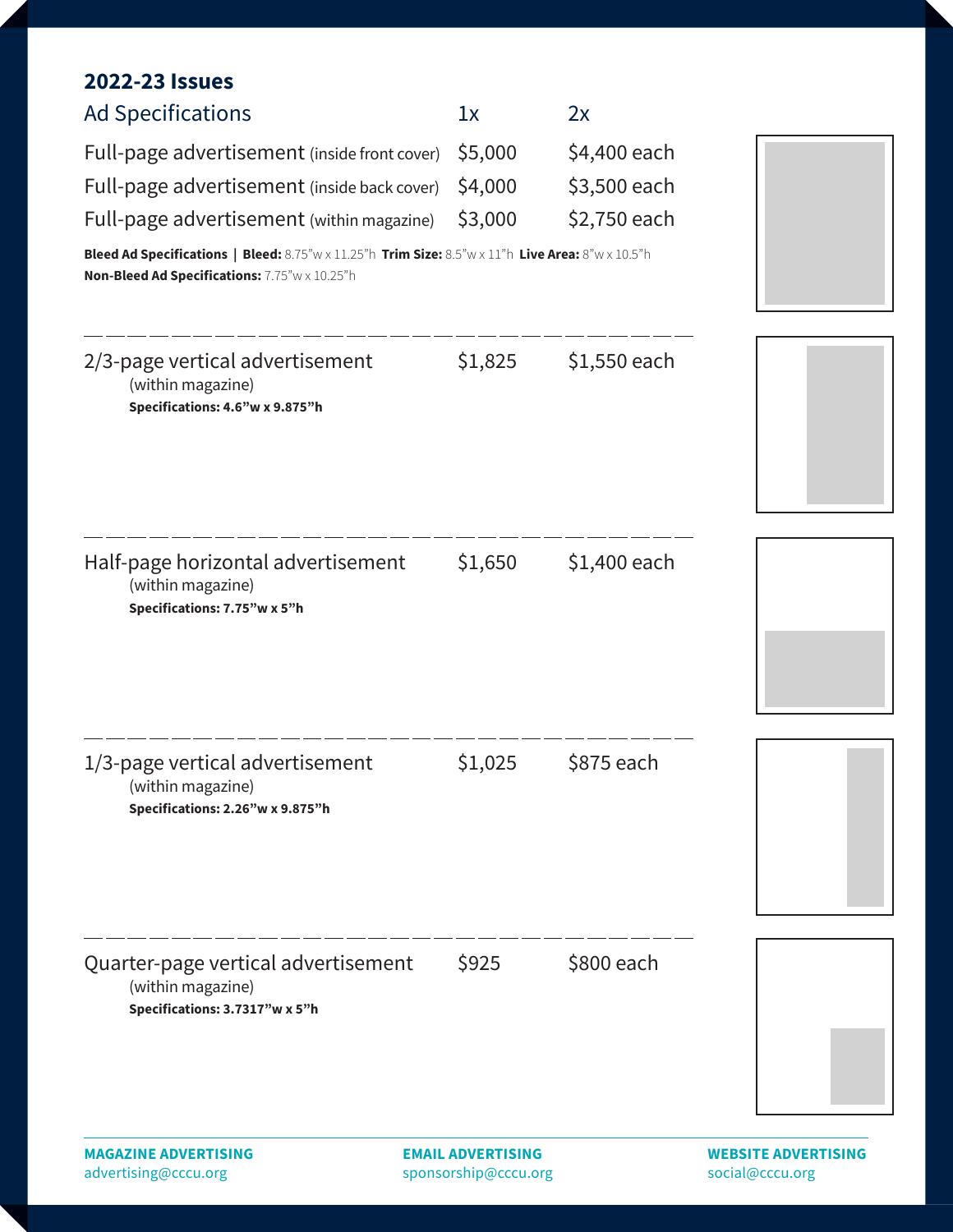#### **2022-23 Issues**

| <b>MAGAZINE ADVERTISING</b>                                                                                                                        | <b>EMAIL ADVERTISING</b> |              | <b>WEBSITE ADVERTISING</b> |
|----------------------------------------------------------------------------------------------------------------------------------------------------|--------------------------|--------------|----------------------------|
| Quarter-page vertical advertisement<br>(within magazine)<br>Specifications: 3.7317"w x 5"h                                                         | \$925                    | \$800 each   |                            |
| 1/3-page vertical advertisement<br>(within magazine)<br>Specifications: 2.26"w x 9.875"h                                                           | \$1,025                  | \$875 each   |                            |
| Half-page horizontal advertisement<br>(within magazine)<br>Specifications: 7.75"w x 5"h                                                            | \$1,650                  | \$1,400 each |                            |
| 2/3-page vertical advertisement<br>(within magazine)<br>Specifications: 4.6"w x 9.875"h                                                            | \$1,825                  | \$1,550 each |                            |
| Bleed Ad Specifications   Bleed: 8.75"w x 11.25"h Trim Size: 8.5"w x 11"h Live Area: 8"w x 10.5"h<br>Non-Bleed Ad Specifications: 7.75"w x 10.25"h |                          |              |                            |
| Full-page advertisement (within magazine)                                                                                                          | \$3,000                  | \$2,750 each |                            |
| Full-page advertisement (inside back cover)                                                                                                        | \$4,000                  | \$3,500 each |                            |
| Full-page advertisement (inside front cover)                                                                                                       | \$5,000                  | \$4,400 each |                            |
| <b>Ad Specifications</b>                                                                                                                           | 1x                       | 2x           |                            |
|                                                                                                                                                    |                          |              |                            |

advertising@cccu.org

sponsorship@cccu.org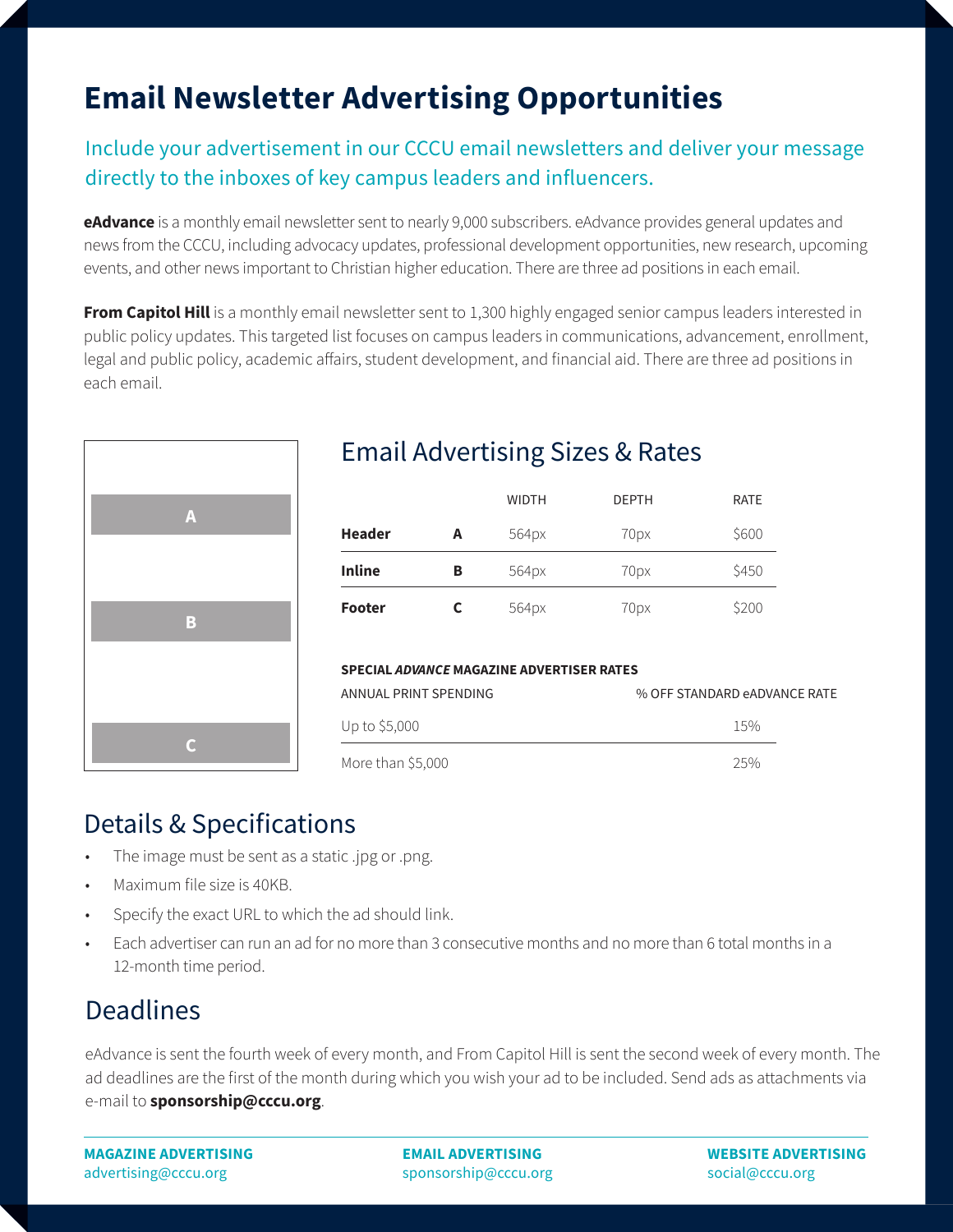# **Email Newsletter Advertising Opportunities**

#### Include your advertisement in our CCCU email newsletters and deliver your message directly to the inboxes of key campus leaders and influencers.

**eAdvance** is a monthly email newsletter sent to nearly 9,000 subscribers. eAdvance provides general updates and news from the CCCU, including advocacy updates, professional development opportunities, new research, upcoming events, and other news important to Christian higher education. There are three ad positions in each email.

**From Capitol Hill** is a monthly email newsletter sent to 1,300 highly engaged senior campus leaders interested in public policy updates. This targeted list focuses on campus leaders in communications, advancement, enrollment, legal and public policy, academic affairs, student development, and financial aid. There are three ad positions in each email.



## Email Advertising Sizes & Rates

|               |   | <b>WIDTH</b> | <b>DEPTH</b> | <b>RATE</b> |
|---------------|---|--------------|--------------|-------------|
| <b>Header</b> | А | 564px        | 70px         | \$600       |
| <b>Inline</b> | в | 564px        | 70px         | \$450       |
| <b>Footer</b> |   | 564px        | 70px         | \$200       |

#### **SPECIAL** *ADVANCE* **MAGAZINE ADVERTISER RATES**

| ANNUAL PRINT SPENDING | % OFF STANDARD eADVANCE RATE |
|-----------------------|------------------------------|
| Up to \$5,000         | $15\%$                       |
| More than \$5,000     | $25\%$                       |

## Details & Specifications

- The image must be sent as a static .jpg or .png.
- Maximum file size is 40KB.
- Specify the exact URL to which the ad should link.
- Each advertiser can run an ad for no more than 3 consecutive months and no more than 6 total months in a 12-month time period.

## **Deadlines**

eAdvance is sent the fourth week of every month, and From Capitol Hill is sent the second week of every month. The ad deadlines are the first of the month during which you wish your ad to be included. Send ads as attachments via e-mail to **sponsorship@cccu.org**.

**MAGAZINE ADVERTISING** advertising@cccu.org

**EMAIL ADVERTISING** sponsorship@cccu.org **WEBSITE ADVERTISING**  social@cccu.org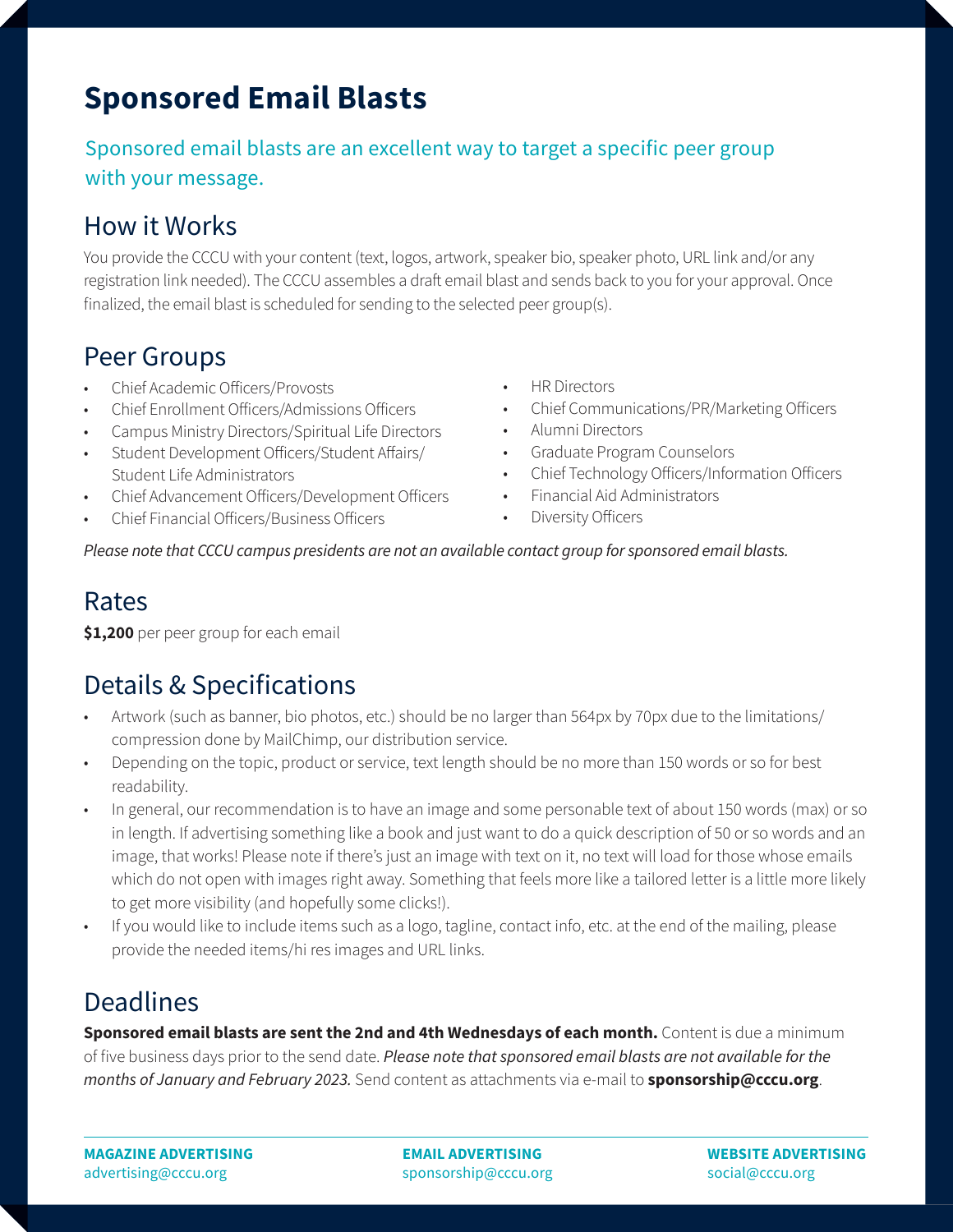# **Sponsored Email Blasts**

#### Sponsored email blasts are an excellent way to target a specific peer group with your message.

## How it Works

You provide the CCCU with your content (text, logos, artwork, speaker bio, speaker photo, URL link and/or any registration link needed). The CCCU assembles a draft email blast and sends back to you for your approval. Once finalized, the email blast is scheduled for sending to the selected peer group(s).

#### Peer Groups

- Chief Academic Officers/Provosts
- Chief Enrollment Officers/Admissions Officers
- Campus Ministry Directors/Spiritual Life Directors
- Student Development Officers/Student Affairs/ Student Life Administrators
- Chief Advancement Officers/Development Officers
- Chief Financial Officers/Business Officers
- HR Directors
- Chief Communications/PR/Marketing Officers
- Alumni Directors
- Graduate Program Counselors
- Chief Technology Officers/Information Officers
- Financial Aid Administrators
- Diversity Officers

*Please note that CCCU campus presidents are not an available contact group for sponsored email blasts.*

#### Rates

**\$1,200** per peer group for each email

## Details & Specifications

- Artwork (such as banner, bio photos, etc.) should be no larger than 564px by 70px due to the limitations/ compression done by MailChimp, our distribution service.
- Depending on the topic, product or service, text length should be no more than 150 words or so for best readability.
- In general, our recommendation is to have an image and some personable text of about 150 words (max) or so in length. If advertising something like a book and just want to do a quick description of 50 or so words and an image, that works! Please note if there's just an image with text on it, no text will load for those whose emails which do not open with images right away. Something that feels more like a tailored letter is a little more likely to get more visibility (and hopefully some clicks!).
- If you would like to include items such as a logo, tagline, contact info, etc. at the end of the mailing, please provide the needed items/hi res images and URL links.

## **Deadlines**

**Sponsored email blasts are sent the 2nd and 4th Wednesdays of each month.** Content is due a minimum of five business days prior to the send date. *Please note that sponsored email blasts are not available for the months of January and February 2023.* Send content as attachments via e-mail to **sponsorship@cccu.org**.

**MAGAZINE ADVERTISING** advertising@cccu.org

**EMAIL ADVERTISING** sponsorship@cccu.org **WEBSITE ADVERTISING**  social@cccu.org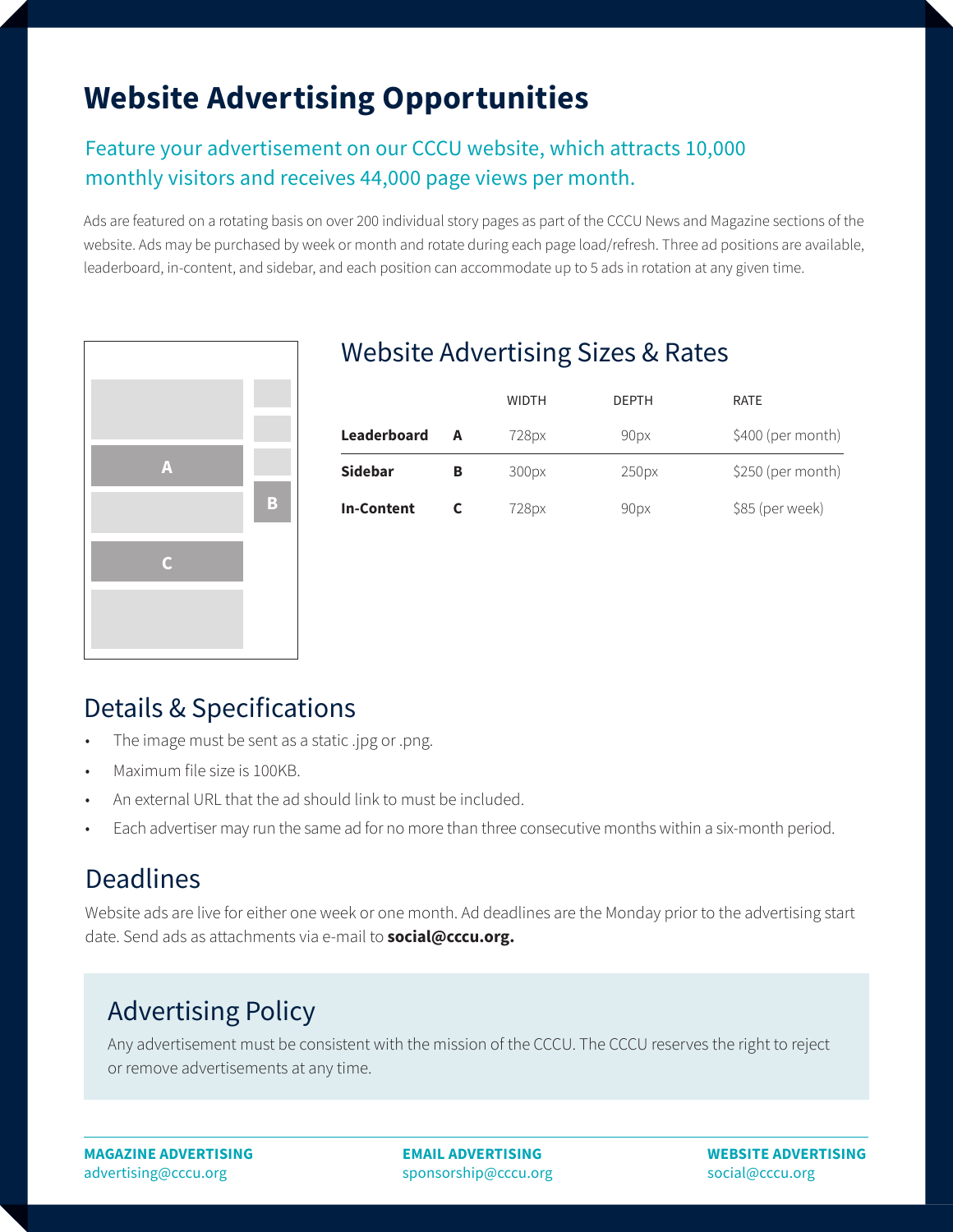# **Website Advertising Opportunities**

#### Feature your advertisement on our CCCU website, which attracts 10,000 monthly visitors and receives 44,000 page views per month.

Ads are featured on a rotating basis on over 200 individual story pages as part of the CCCU News and Magazine sections of the website. Ads may be purchased by week or month and rotate during each page load/refresh. Three ad positions are available, leaderboard, in-content, and sidebar, and each position can accommodate up to 5 ads in rotation at any given time.



#### Website Advertising Sizes & Rates

|                    |   | <b>WIDTH</b> | <b>DEPTH</b> | <b>RATE</b>       |
|--------------------|---|--------------|--------------|-------------------|
| <b>Leaderboard</b> | A | 728px        | 90px         | \$400 (per month) |
| <b>Sidebar</b>     | в | 300px        | 250px        | \$250 (per month) |
| <b>In-Content</b>  |   | 728px        | 90px         | \$85 (per week)   |

#### Details & Specifications

- The image must be sent as a static .jpg or .png.
- Maximum file size is 100KB.
- An external URL that the ad should link to must be included.
- Each advertiser may run the same ad for no more than three consecutive months within a six-month period.

## Deadlines

Website ads are live for either one week or one month. Ad deadlines are the Monday prior to the advertising start date. Send ads as attachments via e-mail to **social@cccu.org.**

## Advertising Policy

Any advertisement must be consistent with the mission of the CCCU. The CCCU reserves the right to reject or remove advertisements at any time.

**MAGAZINE ADVERTISING** advertising@cccu.org

**EMAIL ADVERTISING** sponsorship@cccu.org **WEBSITE ADVERTISING**  social@cccu.org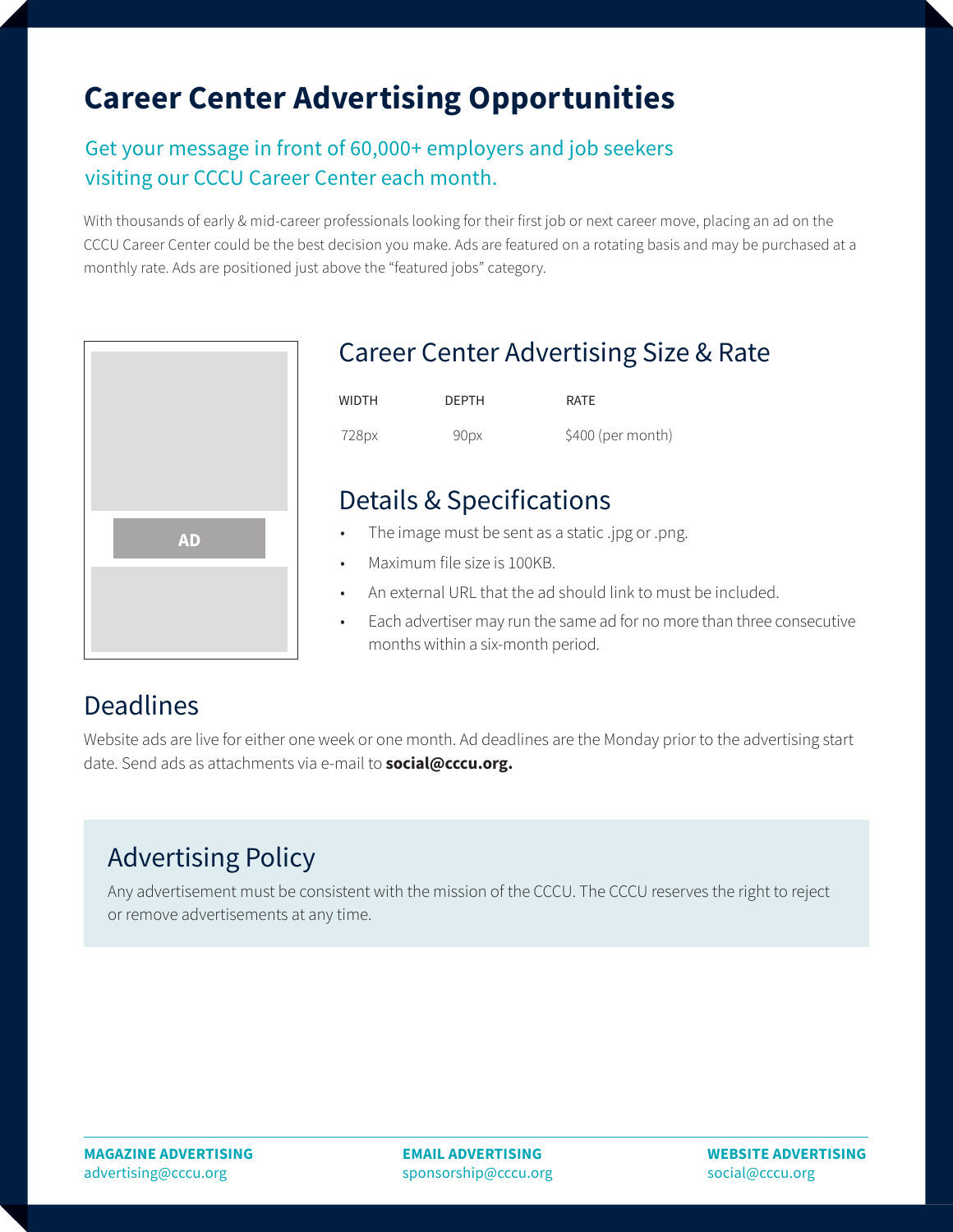# **Career Center Advertising Opportunities**

#### Get your message in front of 60,000+ employers and job seekers visiting our CCCU Career Center each month.

With thousands of early & mid-career professionals looking for their first job or next career move, placing an ad on the CCCU Career Center could be the best decision you make. Ads are featured on a rotating basis and may be purchased at a monthly rate. Ads are positioned just above the "featured jobs" category.



#### Career Center Advertising Size & Rate

| WIDTH | <b>DEPTH</b> | <b>RATF</b>       |
|-------|--------------|-------------------|
| 728px | 90px         | \$400 (per month) |

#### Details & Specifications

- **AD •** The image must be sent as a static .jpg or .png.
	- Maximum file size is 100KB.
	- An external URL that the ad should link to must be included.
	- Each advertiser may run the same ad for no more than three consecutive months within a six-month period.

#### **Deadlines**

Website ads are live for either one week or one month. Ad deadlines are the Monday prior to the advertising start date. Send ads as attachments via e-mail to **social@cccu.org.**

## Advertising Policy

Any advertisement must be consistent with the mission of the CCCU. The CCCU reserves the right to reject or remove advertisements at any time.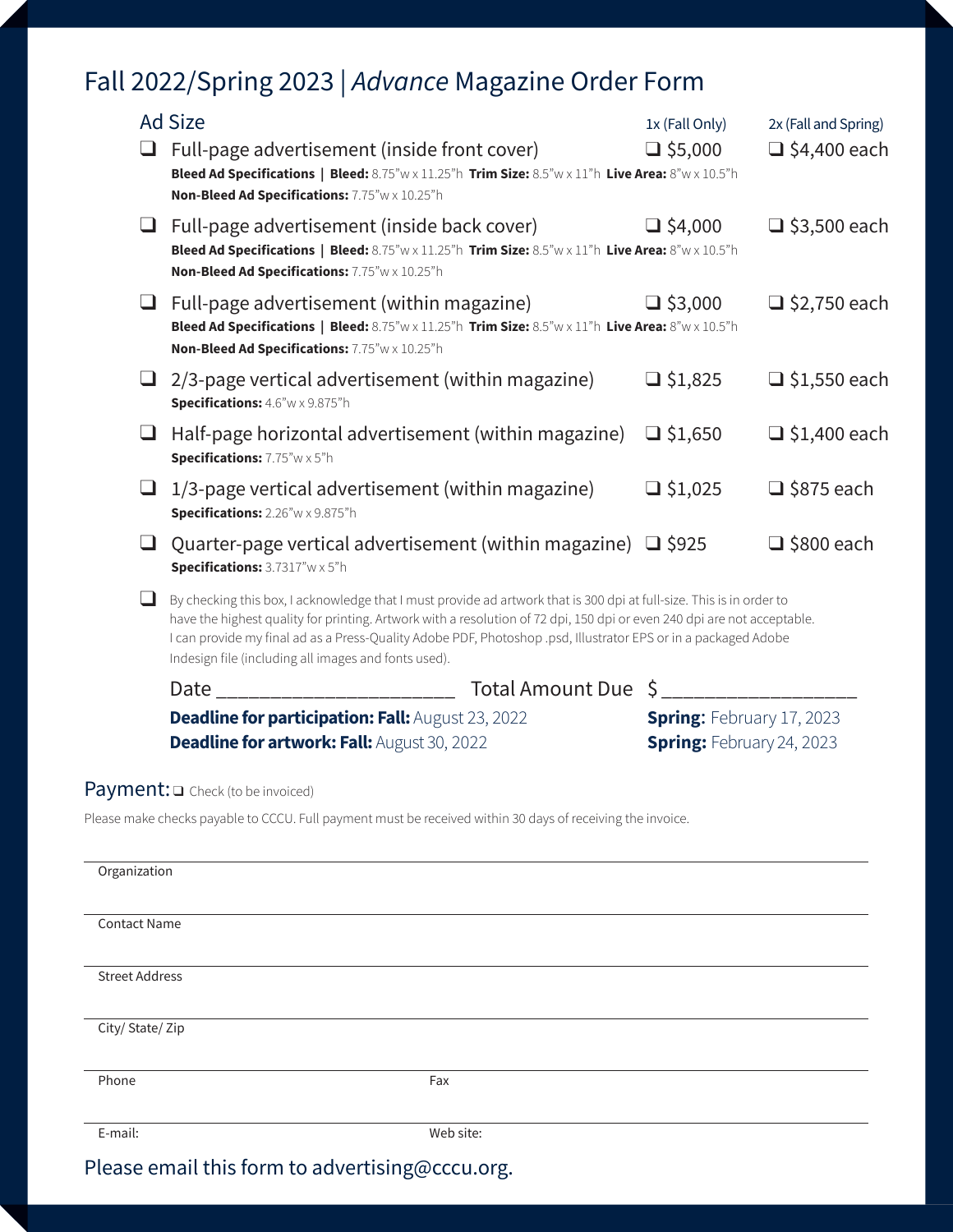## Fall 2022/Spring 2023 | *Advance* Magazine Order Form

|                       | <b>Ad Size</b>                                                                                                                                                                                                                                                                                                                                                                                                            | 1x (Fall Only)                                                       | 2x (Fall and Spring) |
|-----------------------|---------------------------------------------------------------------------------------------------------------------------------------------------------------------------------------------------------------------------------------------------------------------------------------------------------------------------------------------------------------------------------------------------------------------------|----------------------------------------------------------------------|----------------------|
|                       | Full-page advertisement (inside front cover)<br>Bleed Ad Specifications   Bleed: 8.75"w x 11.25"h Trim Size: 8.5"w x 11"h Live Area: 8"w x 10.5"h<br>Non-Bleed Ad Specifications: 7.75"w x 10.25"h                                                                                                                                                                                                                        | $\Box$ \$5,000                                                       | $\Box$ \$4,400 each  |
| u                     | Full-page advertisement (inside back cover)<br>Bleed Ad Specifications   Bleed: 8.75"w x 11.25"h Trim Size: 8.5"w x 11"h Live Area: 8"w x 10.5"h<br>Non-Bleed Ad Specifications: 7.75"w x 10.25"h                                                                                                                                                                                                                         | $\Box$ \$4,000                                                       | $\Box$ \$3,500 each  |
| ⊔                     | Full-page advertisement (within magazine)<br>Bleed Ad Specifications   Bleed: 8.75"w x 11.25"h Trim Size: 8.5"w x 11"h Live Area: 8"w x 10.5"h<br>Non-Bleed Ad Specifications: 7.75"w x 10.25"h                                                                                                                                                                                                                           | $\Box$ \$3,000                                                       | $\Box$ \$2,750 each  |
| ⊔                     | 2/3-page vertical advertisement (within magazine)<br>Specifications: 4.6"w x 9.875"h                                                                                                                                                                                                                                                                                                                                      | $\Box$ \$1,825                                                       | $\Box$ \$1,550 each  |
| ❏                     | Half-page horizontal advertisement (within magazine)<br>Specifications: 7.75"w x 5"h                                                                                                                                                                                                                                                                                                                                      | $\Box$ \$1,650                                                       | $\Box$ \$1,400 each  |
| ⊔                     | 1/3-page vertical advertisement (within magazine)<br>Specifications: 2.26"w x 9.875"h                                                                                                                                                                                                                                                                                                                                     | $\Box$ \$1,025                                                       | $\Box$ \$875 each    |
| ப                     | Quarter-page vertical advertisement (within magazine) $\Box$ \$925<br>Specifications: 3.7317"w x 5"h                                                                                                                                                                                                                                                                                                                      |                                                                      | $\Box$ \$800 each    |
| ப                     | By checking this box, I acknowledge that I must provide ad artwork that is 300 dpi at full-size. This is in order to<br>have the highest quality for printing. Artwork with a resolution of 72 dpi, 150 dpi or even 240 dpi are not acceptable.<br>I can provide my final ad as a Press-Quality Adobe PDF, Photoshop .psd, Illustrator EPS or in a packaged Adobe<br>Indesign file (including all images and fonts used). |                                                                      |                      |
|                       | Date __________________________<br>Total Amount Due                                                                                                                                                                                                                                                                                                                                                                       | \$                                                                   |                      |
|                       | Deadline for participation: Fall: August 23, 2022<br><b>Deadline for artwork: Fall: August 30, 2022</b>                                                                                                                                                                                                                                                                                                                   | <b>Spring: February 17, 2023</b><br><b>Spring: February 24, 2023</b> |                      |
|                       | $Payment: \square$ Check (to be invoiced)                                                                                                                                                                                                                                                                                                                                                                                 |                                                                      |                      |
|                       | Please make checks payable to CCCU. Full payment must be received within 30 days of receiving the invoice.                                                                                                                                                                                                                                                                                                                |                                                                      |                      |
| Organization          |                                                                                                                                                                                                                                                                                                                                                                                                                           |                                                                      |                      |
| <b>Contact Name</b>   |                                                                                                                                                                                                                                                                                                                                                                                                                           |                                                                      |                      |
| <b>Street Address</b> |                                                                                                                                                                                                                                                                                                                                                                                                                           |                                                                      |                      |
| City/ State/ Zip      |                                                                                                                                                                                                                                                                                                                                                                                                                           |                                                                      |                      |

E-mail: Web site:

Please email this form to advertising@cccu.org.

Phone **Fax**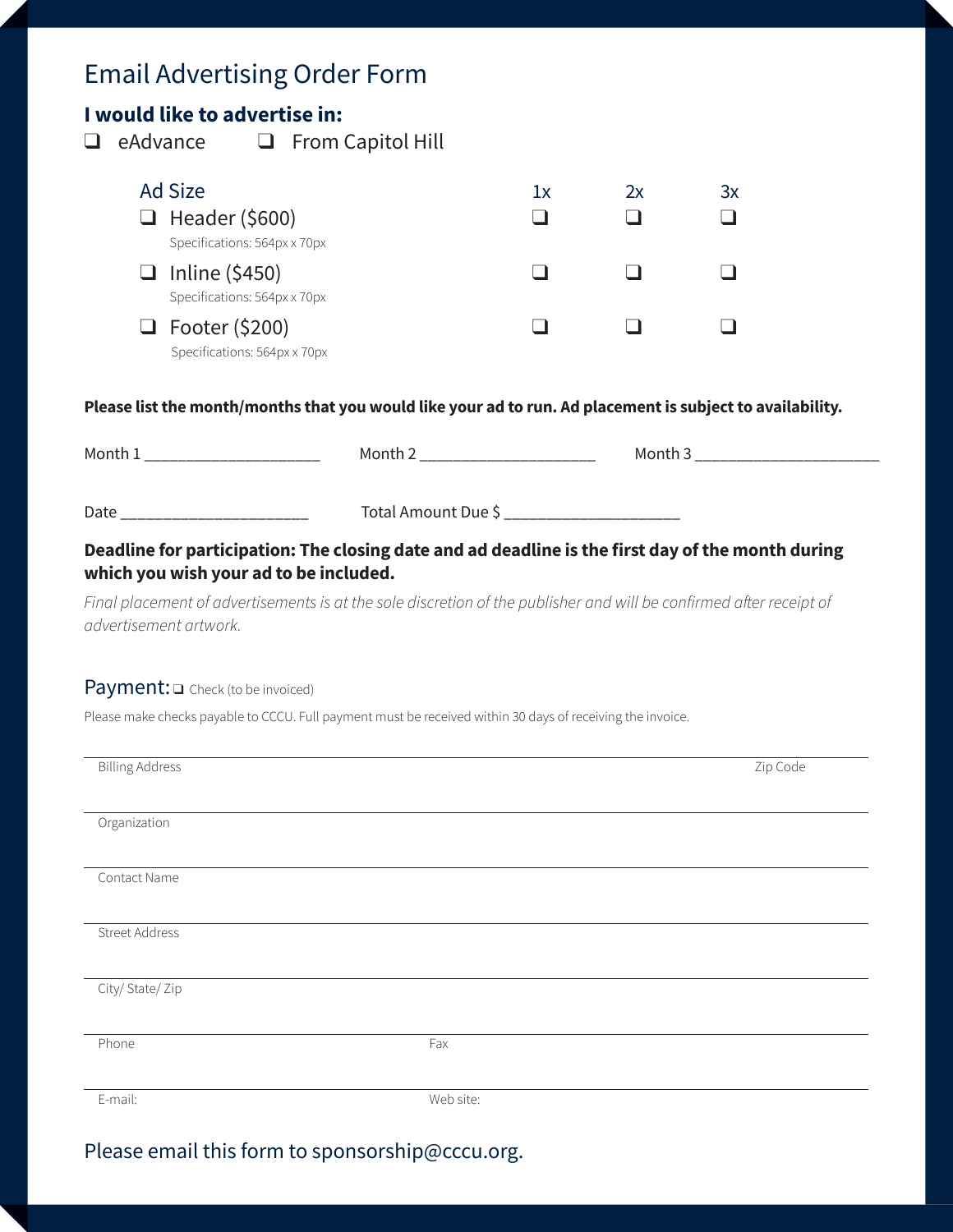## Email Advertising Order Form

#### **I would like to advertise in:**

 $\Box$  eAdvance  $\Box$  From Capitol Hill

| Ad Size<br>$\Box$ Header (\$600)                                                      | lx | 2х | Зx |
|---------------------------------------------------------------------------------------|----|----|----|
| Specifications: 564px x 70px<br>$\Box$ Inline (\$450)<br>Specifications: 564px x 70px |    |    |    |
| $\Box$ Footer (\$200)<br>Specifications: 564px x 70px                                 |    |    |    |

#### **Please list the month/months that you would like your ad to run. Ad placement is subject to availability.**

| Month 1                                | Month 2 _____________________                                                                                       | Month 3 __________________________ |
|----------------------------------------|---------------------------------------------------------------------------------------------------------------------|------------------------------------|
| Date _________________________         | Total Amount Due \$ ______________________                                                                          |                                    |
| which you wish your ad to be included. | Deadline for participation: The closing date and ad deadline is the first day of the month during                   |                                    |
| advertisement artwork.                 | Final placement of advertisements is at the sole discretion of the publisher and will be confirmed after receipt of |                                    |

#### Payment:  $\square$  Check (to be invoiced)

Please make checks payable to CCCU. Full payment must be received within 30 days of receiving the invoice.

| <b>Billing Address</b> |           | Zip Code |
|------------------------|-----------|----------|
| Organization           |           |          |
| Contact Name           |           |          |
|                        |           |          |
| Street Address         |           |          |
| City/State/Zip         |           |          |
| Phone                  | Fax       |          |
| E-mail:                | Web site: |          |

Please email this form to sponsorship@cccu.org.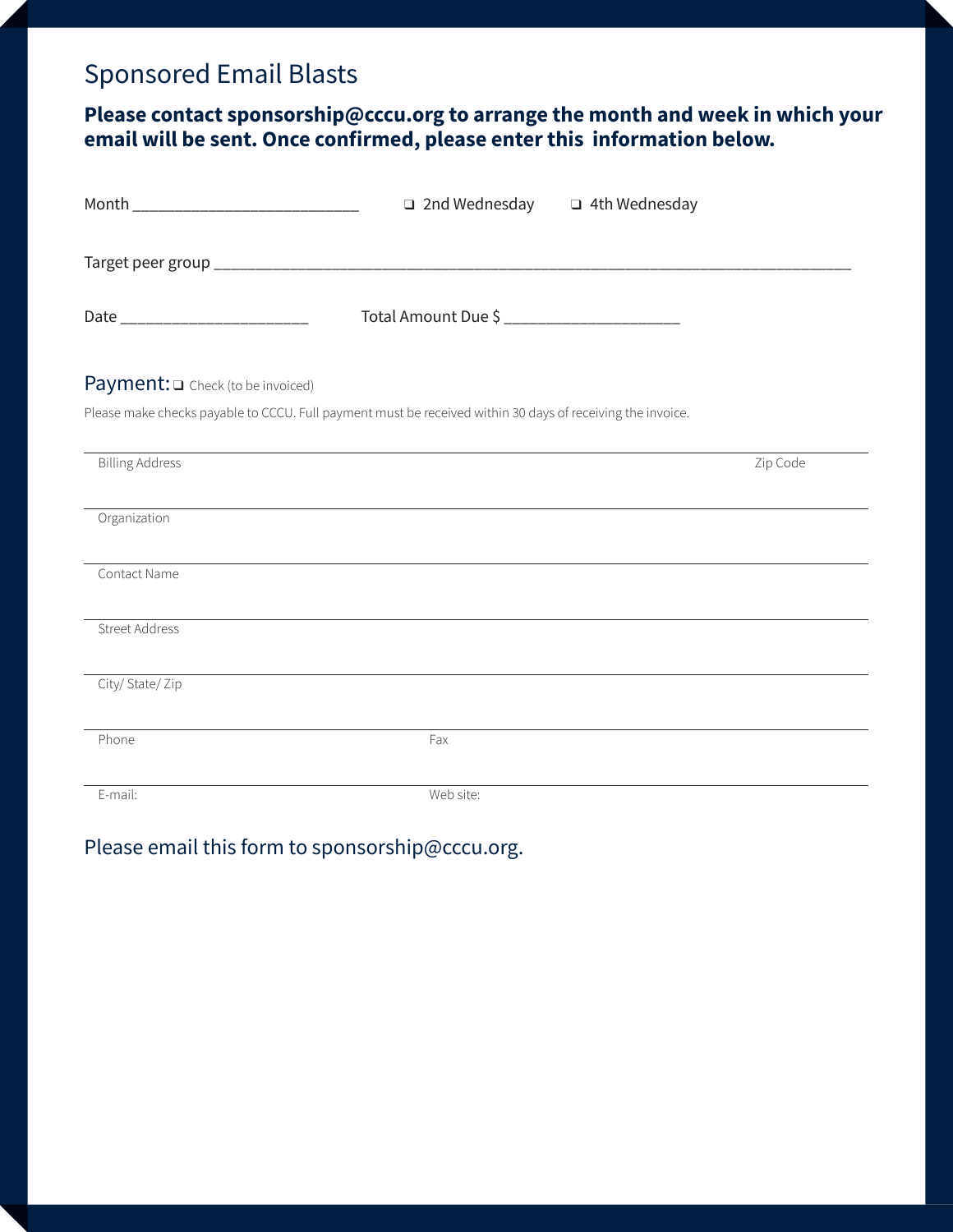## Sponsored Email Blasts

#### **Please contact sponsorship@cccu.org to arrange the month and week in which your email will be sent. Once confirmed, please enter this information below.**

| Month ______________________________                                                                       | $\Box$ 2nd Wednesday $\Box$ 4th Wednesday                                        |          |
|------------------------------------------------------------------------------------------------------------|----------------------------------------------------------------------------------|----------|
|                                                                                                            |                                                                                  |          |
| Date ____________________________                                                                          | Total Amount Due \$ __________________________                                   |          |
| Payment: O Check (to be invoiced)                                                                          |                                                                                  |          |
| Please make checks payable to CCCU. Full payment must be received within 30 days of receiving the invoice. |                                                                                  |          |
| <b>Billing Address</b>                                                                                     |                                                                                  | Zip Code |
| Organization                                                                                               |                                                                                  |          |
| Contact Name                                                                                               |                                                                                  |          |
| <b>Street Address</b>                                                                                      | ,我们也不会有什么。""我们的人,我们也不会有什么?""我们的人,我们也不会有什么?""我们的人,我们也不会有什么?""我们的人,我们也不会有什么?""我们的人 |          |
| City/ State/ Zip                                                                                           |                                                                                  |          |
| Phone                                                                                                      | Fax                                                                              |          |
| E-mail:                                                                                                    | Web site:                                                                        |          |

#### Please email this form to sponsorship@cccu.org.